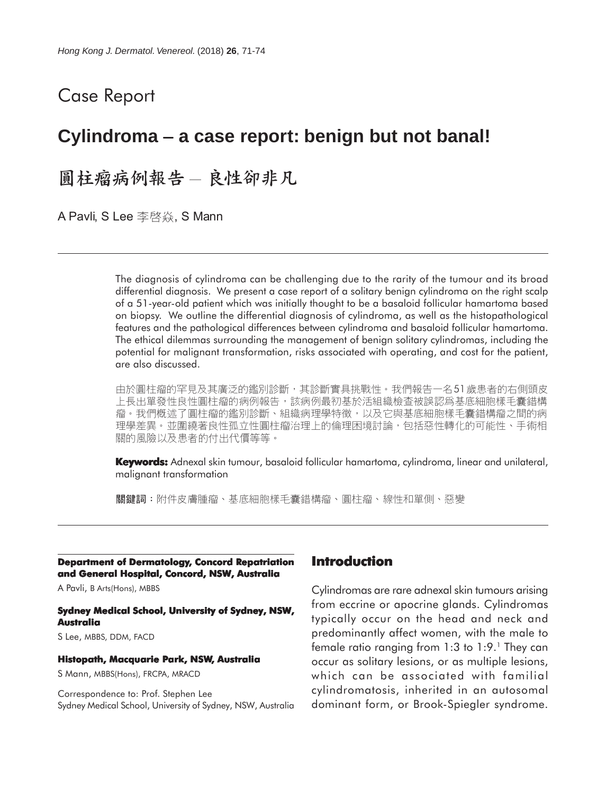# Case Report

# **Cylindroma** − **a case report: benign but not banal!**

圓柱瘤病例報告 - 良性卻非凡

A Pavli, S Lee 李啓焱, S Mann

The diagnosis of cylindroma can be challenging due to the rarity of the tumour and its broad differential diagnosis. We present a case report of a solitary benign cylindroma on the right scalp of a 51-year-old patient which was initially thought to be a basaloid follicular hamartoma based on biopsy. We outline the differential diagnosis of cylindroma, as well as the histopathological features and the pathological differences between cylindroma and basaloid follicular hamartoma. The ethical dilemmas surrounding the management of benign solitary cylindromas, including the potential for malignant transformation, risks associated with operating, and cost for the patient, are also discussed.

由於圓柱瘤的罕見及其廣泛的鑑別診斷,其診斷實具挑戰性。我們報告一名51歲患者的右側頭皮 上長出單發性良性圓柱瘤的病例報告,該病例最初基於活組織檢查被誤認爲基底細胞樣毛囊錯構 瘤。我們槪述了圓柱瘤的鑑別診斷、組織病理學特徵,以及它與基底細胞樣毛囊錯構瘤之間的病 理學差異。並圍繞著良性孤立性圓柱瘤治理上的倫理困境討論,包括惡性轉化的可能性、手術相 關的風險以及患者的付出代價等等。

**Keywords:** Adnexal skin tumour, basaloid follicular hamartoma, cylindroma, linear and unilateral, malignant transformation

關鍵詞:附件皮膚腫瘤、基底細胞樣毛囊錯構瘤、圓柱瘤、線性和單側、惡變

**Department of Dermatology, Concord Repatriation and General Hospital, Concord, NSW, Australia**

A Pavli, B Arts(Hons), MBBS

#### **Sydney Medical School, University of Sydney, NSW, Australia**

S Lee, MBBS, DDM, FACD

#### **Histopath, Macquarie Park, NSW, Australia**

S Mann, MBBS(Hons), FRCPA, MRACD

Correspondence to: Prof. Stephen Lee Sydney Medical School, University of Sydney, NSW, Australia

### **Introduction**

Cylindromas are rare adnexal skin tumours arising from eccrine or apocrine glands. Cylindromas typically occur on the head and neck and predominantly affect women, with the male to female ratio ranging from  $1:3$  to  $1:9.1$  They can occur as solitary lesions, or as multiple lesions, which can be associated with familial cylindromatosis, inherited in an autosomal dominant form, or Brook-Spiegler syndrome.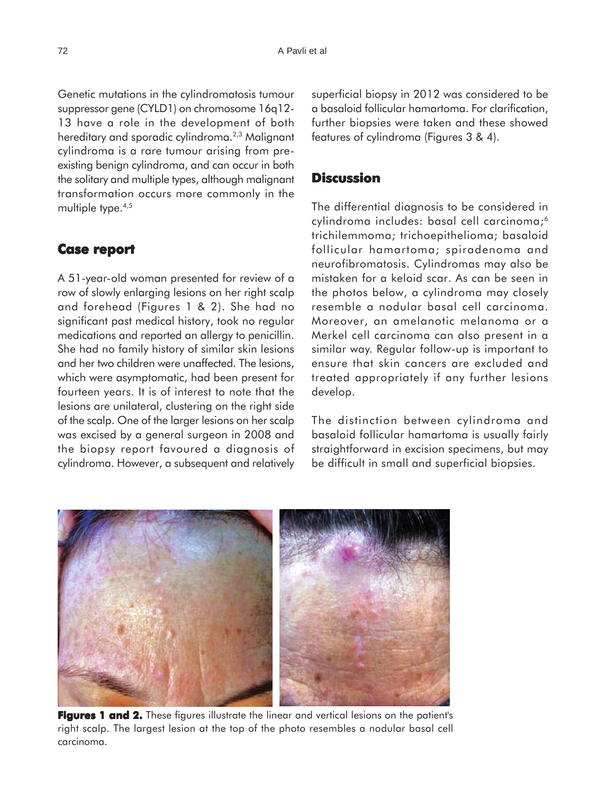Genetic mutations in the cylindromatosis tumour suppressor gene (CYLD1) on chromosome 16q12- 13 have a role in the development of both hereditary and sporadic cylindroma.<sup>2,3</sup> Malignant cylindroma is a rare tumour arising from preexisting benign cylindroma, and can occur in both the solitary and multiple types, although malignant transformation occurs more commonly in the multiple type.<sup>4,5</sup>

# **Case report report**

A 51-year-old woman presented for review of a row of slowly enlarging lesions on her right scalp and forehead (Figures 1 & 2). She had no significant past medical history, took no regular medications and reported an allergy to penicillin. She had no family history of similar skin lesions and her two children were unaffected. The lesions, which were asymptomatic, had been present for fourteen years. It is of interest to note that the lesions are unilateral, clustering on the right side of the scalp. One of the larger lesions on her scalp was excised by a general surgeon in 2008 and the biopsy report favoured a diagnosis of cylindroma. However, a subsequent and relatively superficial biopsy in 2012 was considered to be a basaloid follicular hamartoma. For clarification, further biopsies were taken and these showed features of cylindroma (Figures 3 & 4).

# **Discussion**

The differential diagnosis to be considered in cylindroma includes: basal cell carcinoma;<sup>6</sup> trichilemmoma; trichoepithelioma; basaloid follicular hamartoma; spiradenoma and neurofibromatosis. Cylindromas may also be mistaken for a keloid scar. As can be seen in the photos below, a cylindroma may closely resemble a nodular basal cell carcinoma. Moreover, an amelanotic melanoma or a Merkel cell carcinoma can also present in a similar way. Regular follow-up is important to ensure that skin cancers are excluded and treated appropriately if any further lesions develop.

The distinction between cylindroma and basaloid follicular hamartoma is usually fairly straightforward in excision specimens, but may be difficult in small and superficial biopsies.



**Figures 1 and 2.** These figures illustrate the linear and vertical lesions on the patient's right scalp. The largest lesion at the top of the photo resembles a nodular basal cell carcinoma.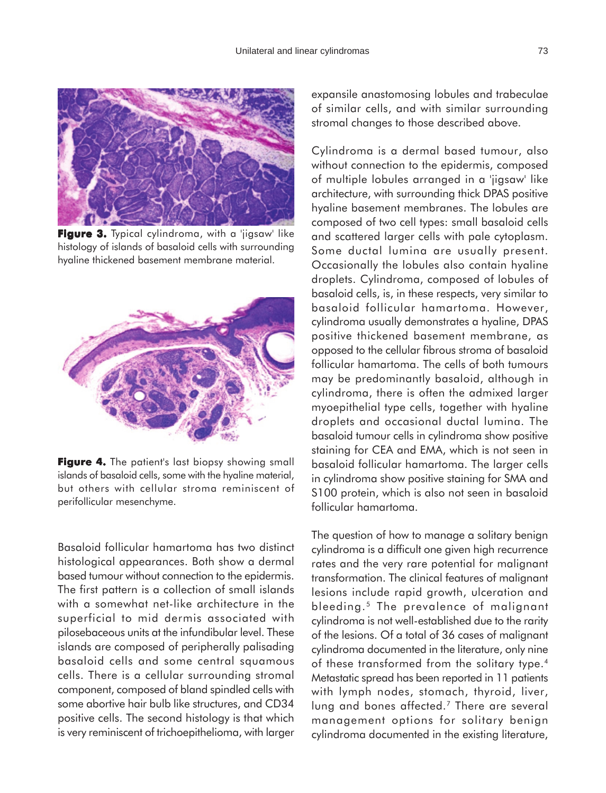

**Figure 3.** Typical cylindroma, with a 'jigsaw' like histology of islands of basaloid cells with surrounding hyaline thickened basement membrane material.



**Figure 4.** The patient's last biopsy showing small islands of basaloid cells, some with the hyaline material, but others with cellular stroma reminiscent of perifollicular mesenchyme.

Basaloid follicular hamartoma has two distinct histological appearances. Both show a dermal based tumour without connection to the epidermis. The first pattern is a collection of small islands with a somewhat net-like architecture in the superficial to mid dermis associated with pilosebaceous units at the infundibular level. These islands are composed of peripherally palisading basaloid cells and some central squamous cells. There is a cellular surrounding stromal component, composed of bland spindled cells with some abortive hair bulb like structures, and CD34 positive cells. The second histology is that which is very reminiscent of trichoepithelioma, with larger

expansile anastomosing lobules and trabeculae of similar cells, and with similar surrounding stromal changes to those described above.

Cylindroma is a dermal based tumour, also without connection to the epidermis, composed of multiple lobules arranged in a 'jigsaw' like architecture, with surrounding thick DPAS positive hyaline basement membranes. The lobules are composed of two cell types: small basaloid cells and scattered larger cells with pale cytoplasm. Some ductal lumina are usually present. Occasionally the lobules also contain hyaline droplets. Cylindroma, composed of lobules of basaloid cells, is, in these respects, very similar to basaloid follicular hamartoma. However, cylindroma usually demonstrates a hyaline, DPAS positive thickened basement membrane, as opposed to the cellular fibrous stroma of basaloid follicular hamartoma. The cells of both tumours may be predominantly basaloid, although in cylindroma, there is often the admixed larger myoepithelial type cells, together with hyaline droplets and occasional ductal lumina. The basaloid tumour cells in cylindroma show positive staining for CEA and EMA, which is not seen in basaloid follicular hamartoma. The larger cells in cylindroma show positive staining for SMA and S100 protein, which is also not seen in basaloid follicular hamartoma.

The question of how to manage a solitary benign cylindroma is a difficult one given high recurrence rates and the very rare potential for malignant transformation. The clinical features of malignant lesions include rapid growth, ulceration and bleeding.<sup>5</sup> The prevalence of malignant cylindroma is not well-established due to the rarity of the lesions. Of a total of 36 cases of malignant cylindroma documented in the literature, only nine of these transformed from the solitary type.4 Metastatic spread has been reported in 11 patients with lymph nodes, stomach, thyroid, liver, lung and bones affected.<sup>7</sup> There are several management options for solitary benign cylindroma documented in the existing literature,